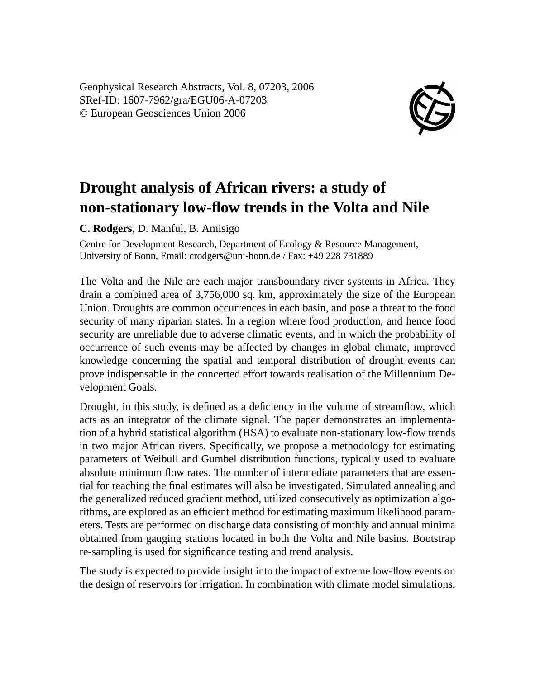Geophysical Research Abstracts, Vol. 8, 07203, 2006 SRef-ID: 1607-7962/gra/EGU06-A-07203 © European Geosciences Union 2006



## **Drought analysis of African rivers: a study of non-stationary low-flow trends in the Volta and Nile**

**C. Rodgers**, D. Manful, B. Amisigo

Centre for Development Research, Department of Ecology & Resource Management, University of Bonn, Email: crodgers@uni-bonn.de / Fax: +49 228 731889

The Volta and the Nile are each major transboundary river systems in Africa. They drain a combined area of 3,756,000 sq. km, approximately the size of the European Union. Droughts are common occurrences in each basin, and pose a threat to the food security of many riparian states. In a region where food production, and hence food security are unreliable due to adverse climatic events, and in which the probability of occurrence of such events may be affected by changes in global climate, improved knowledge concerning the spatial and temporal distribution of drought events can prove indispensable in the concerted effort towards realisation of the Millennium Development Goals.

Drought, in this study, is defined as a deficiency in the volume of streamflow, which acts as an integrator of the climate signal. The paper demonstrates an implementation of a hybrid statistical algorithm (HSA) to evaluate non-stationary low-flow trends in two major African rivers. Specifically, we propose a methodology for estimating parameters of Weibull and Gumbel distribution functions, typically used to evaluate absolute minimum flow rates. The number of intermediate parameters that are essential for reaching the final estimates will also be investigated. Simulated annealing and the generalized reduced gradient method, utilized consecutively as optimization algorithms, are explored as an efficient method for estimating maximum likelihood parameters. Tests are performed on discharge data consisting of monthly and annual minima obtained from gauging stations located in both the Volta and Nile basins. Bootstrap re-sampling is used for significance testing and trend analysis.

The study is expected to provide insight into the impact of extreme low-flow events on the design of reservoirs for irrigation. In combination with climate model simulations,